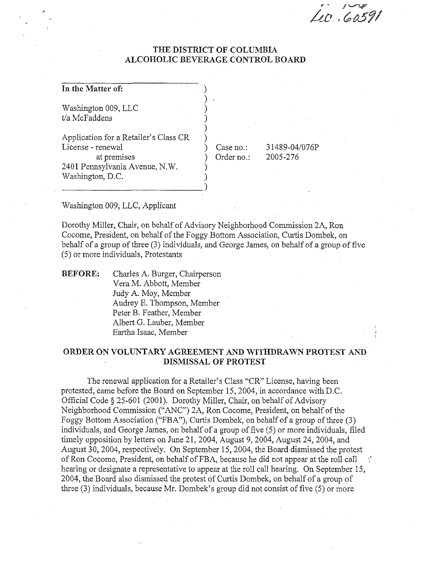40.60591

#### THE DISTRICT OF COLUMBIA ALCOHOLIC BEVERAGE CONTROL BOARD

| In the Matter of:                                                                                                               |                         |                           |
|---------------------------------------------------------------------------------------------------------------------------------|-------------------------|---------------------------|
| Washington 009, LLC<br>t/a McFaddens                                                                                            |                         |                           |
| Application for a Retailer's Class CR<br>License - renewal<br>at premises<br>2401 Pennsylvania Avenue, N.W.<br>Washington, D.C. | Case no.:<br>Order no.: | 31489-04/076P<br>2005-276 |

Washington 009, LLC, Applicant

Dorothy Miller, Chair, on behalf of Advisory Neighborhood Commission 2A, Ron Cocome, President, on behalf of the Foggy Bottom Association, Curtis Dombek, on behalf of a group of three (3) individuals, and George James, on behalf of a group of five (5) or more individuals, Protestants

BEFORE: Charles A. Burger, Chairperson Vera M. Abbott, Member Judy A. Moy, Member Audrey E. Thompson, Member Peter B. Feather, Member Albert G. Lauber, Member Eartha Isaac, Member

#### ORDER ON VOLUNTARY AGREEMENT AND WITHDRAWN PROTEST AND DISMISSAL OF PROTEST

The renewal application for a Retailer's Class "CR" License, having been protested, came before the Board on September 15,2004, in accordance with D.C. Official Code § 25-601 (2001). Dorothy Miller, Chair, on behalf of Advisory Neighborhood Commission ("ANC") 2A, Ron Cocome, President, on behalf of the Foggy Bottom Association ("FBA"), Curtis Dombek, on behalf of a group of three (3) individuals, and George James, on behalf of a group of five (5) or more individuals, filed timely opposition by letters on June 21, 2004, August 9, 2004, August 24,2004, and August 30, 2004, respectively. On September IS, 2004, the Board dismissed the protest of Ron Cocome, President, on behalf of FBA, because he did not appear at the roll call hearing or designate a representative to appear at the roll call hearing. On September 15, 2004, the Board also dismissed the protest of Curtis Dombek, on behalf of a group of three (3) individuals, because Mr. Dombek's group did not consist of five (5) or more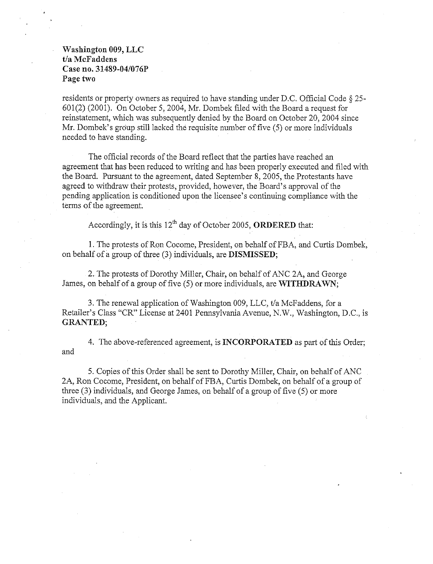#### Washington 009, LLC *t/a* McFaddens Case no. 31489-04/076P Page two

residents or property owners as required to have standing under D.C. Official Code § 25- 601(2) (2001). On October 5, 2004, Mr. Dombek filed with the Board a request for reinstatement, which was subsequently denied by the Board on October 20,2004 since Mr. Dombek's group still lacked the requisite number of five (5) or more individuals needed to have standing.

The official records of the Board reflect that the parties have reached an agreement that has been reduced to writing and has been properly executed and filed with the Board. Pursuant to the agreement, dated September 8, 2005, the Protestants have agreed to withdraw their protests, provided, however, the Board's approval of the pending application is conditioned upon the licensee's continuing compliance with the tenns of the agreement.

Accordingly, it is this  $12^{th}$  day of October 2005, **ORDERED** that:

1. The protests of Ron Cocome, President, on behalf ofFBA, and Curtis Dombek, on behalf of a group of three (3) individuals, are DISMISSED;

2. The protests of Dorothy Miller, Chair, on behalf of ANC 2A, and George James, on behalf of a group of five (5) or more individuals, are WITHDRAWN;

3. The renewal application of Washington 009, LLC, *tla* McFaddens, for a Retailer's Class "CR" License at 2401 Pennsylvania Avenue, N.W., Washington, D.C., is GRANTED;

4. The above-referenced agreement, is INCORPORATED as part of this Order; and

5. Copies of this Order shall be sent to Dorothy Miller, Chair, on behalf of ANC 2A, Ron Cocome, President, on behalf of FBA, Curtis Dombek, on behalf of a group of three (3) individuals, and George James, on behalf of a group of five (5) or more individuals, and the Applicant.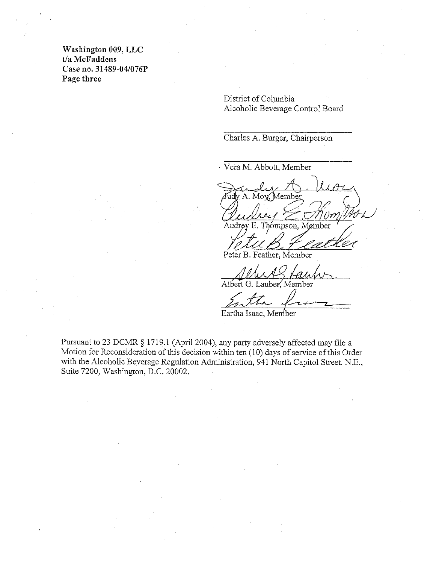Washington 009, LLC t/a McFaddens Case no. 31489-04/076P Page three

> District of Columbia Alcoholic Beverage Control Board

Charles A. Burger, Chairperson

Vera M. Abbott, Member

A. Moy Member LR-v/ .~ O'lff */f/t1-U* 

 $H_{i_1}R_{i_2}$ 

Peter B. Feather, Member

Albert G. Lauber, Member

Albert G. Lauber, Member<br>Albert G. Lauber, Member<br>Eartha Isaac, Member

Pursuant to 23 DCMR § 1719.1 (April 2004), any party adversely affected may file a Motion for Reconsideration of this decision within ten (10) days of service of this Order with the Alcoholic Beverage Regulation Administration, 941 North Capitol Street, N.E., Suite 7200, Washington, D.C. 20002.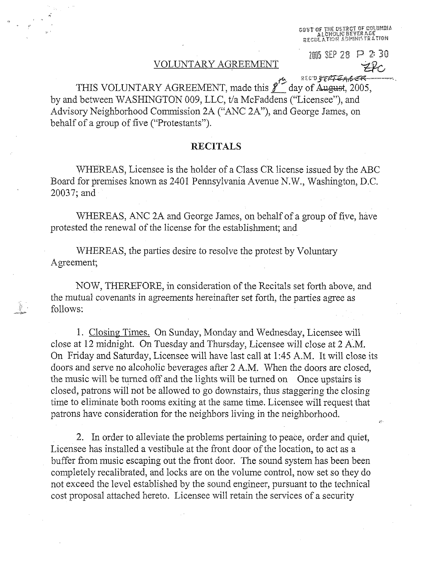чтог the dstrct of columbia<br>— Alcholic Bever age<br>Egulation Administration

#### VOLUNTARY AGREEMENT

 $2005$  SEP 28 P 2: 30

r:t:; R E e'D *J"C#1T-<4\ ,e* ~ THIS VOLUNTARY AGREEMENT, made this  $\ell^{\prime\prime}$  day of August, 2005, by and between WASHINGTON 009, LLC, t/a McFaddens ("Licensee"), and Advisory Neighborhood Commission 2A ("ANC 2A"), and George James, on behalf of a group of five ("Protestants").

#### RECITALS

WHEREAS, Licensee is the holder of a Class CR license issued by the ABC Board for premises known as 2401 Pennsylvania Avenue N.W., Washington, D.C. 20037; and

WHEREAS, ANC 2A and George James, on behalf of a group of five, have protested the renewal of the license for the establishment; and

WHEREAS, the parties desire to resolve the protest by Voluntary Agreement;

NOW, THEREFORE, in consideration of the Recitals set forth above, and the mutual covenants in agreements hereinafter set forth, the parties agree as follows:

1. Closing Times. On Sunday, Monday and Wednesday, Licensee will close at 12 midnight. On Tuesday and Thursday, Licensee will close at 2 AM. On Friday and Saturday, Licensee will have last call at 1:45 A.M. It will close its doors and serve no alcoholic beverages after 2 AM. When the doors are closed, the music will be turned off and the lights will be turned on Once upstairs is closed, patrons will not be allowed to go downstairs, thus staggering the closing time to eliminate both rooms exiting at the same time. Licensee will request that patrons have consideration for the neighbors living in the neighborhood.

2. In order to alleviate the problems pertaining to peace, order and quiet, Licensee has installed a vestibule at the front door of the location, to act as a buffer from music escaping out the front door. The sound system has been been completely recalibrated, and locks are on the volume control, now set so they do not exceed the level established by the sound engineer, pursuant to the technical cost proposal attached hereto. Licensee will retain the services of a security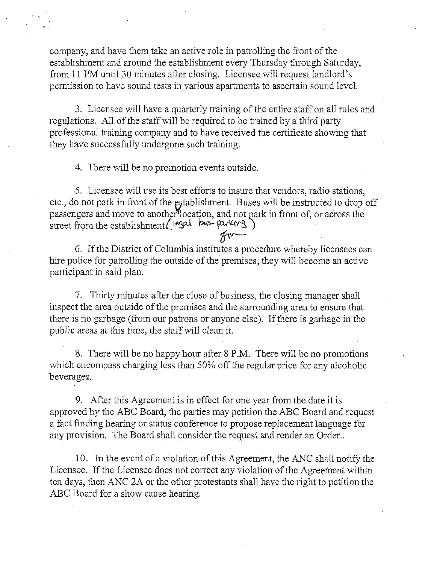company, and have them take an active role in patrolling the front of the establishment and around the establishment every Thursday through Saturday, from 11 PM until 30 minutes after closing. Licensee will request landlord's permission to have sound tests in various apartments to ascertain sound level.

3. Licensee will have a quarterly training of the entire staff on all rules and regulations. *All* of the staff will be required to be trained by a third party professional training company and to have received the certificate showing that they have successfully undergone such training.

4. There will be no promotion events outside.

5. Licensee will use its best efforts to insure that vendors, radio stations, etc., do not park in front of the establishment. Buses will be instructed to drop off passengers and move to another location, and not park in front of, or across the street from the establishmentL t~~ ~s- p::tr\4~ )

6. If the District of Columbia institutes a procedure whereby licensees can hire police for patrolling the outside of the premises, they will become an active participant in said plan.

7. Thirty minutes after the close of business, the closing manager shall inspect the area outside of the premises and the surrounding area to ensure that there is no garbage (from our patrons or anyone else). If there is garbage in the public areas at this time, the staff will clean it.

8. There will be no happy hour after 8 P.M. There will be no promotions which encompass charging less than 50% off the regular price for any alcoholic beverages.

9. After this Agreement is in effect for one year from the date it is approved by the ABC Board, the parties may petition the ABC Board and request a fact fmding hearing or status conference to propose replacement language for any provision. The Board shall consider the request and render an Order..

10. In the event of a violation of this Agreement, the ANC shall notify the Licensee. If the Licensee does not correct any violation of the Agreement within ten days, then ANC 2A or the other protestants shall have the right to petition the ABC Board for a show cause hearing.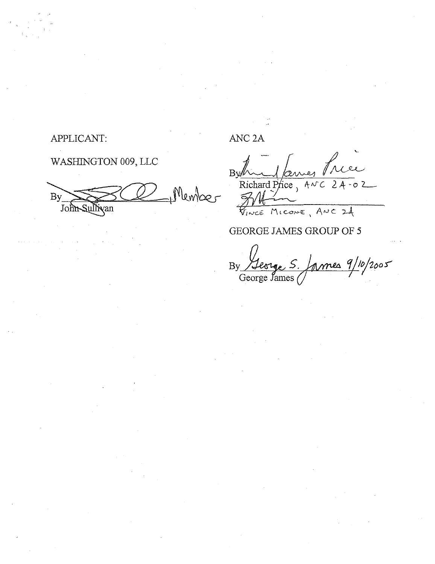### APPLICANT:

# WASHINGTON 009, LLC

 $10 \text{ mN}$ By John Sulli  $\sqrt{an}$ 

ANC<sub>2</sub>A

 $\overline{B}V$ Richard Price,  $A \vee C$  $2A$ 

FINCE MICONE, ANC 24

## GEORGE JAMES GROUP OF 5

mes 9/10/2005  $By$ George James